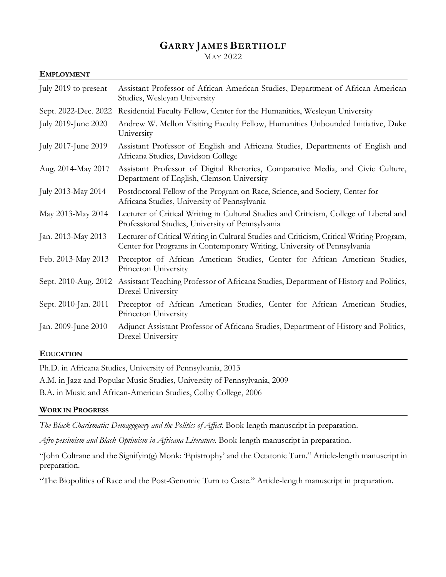### **GARRY JAMES BERTHOLF** MAY 2022

#### **EMPLOYMENT**

| July 2019 to present | Assistant Professor of African American Studies, Department of African American<br>Studies, Wesleyan University                                                      |
|----------------------|----------------------------------------------------------------------------------------------------------------------------------------------------------------------|
| Sept. 2022-Dec. 2022 | Residential Faculty Fellow, Center for the Humanities, Wesleyan University                                                                                           |
| July 2019-June 2020  | Andrew W. Mellon Visiting Faculty Fellow, Humanities Unbounded Initiative, Duke<br>University                                                                        |
| July 2017-June 2019  | Assistant Professor of English and Africana Studies, Departments of English and<br>Africana Studies, Davidson College                                                |
| Aug. 2014-May 2017   | Assistant Professor of Digital Rhetorics, Comparative Media, and Civic Culture,<br>Department of English, Clemson University                                         |
| July 2013-May 2014   | Postdoctoral Fellow of the Program on Race, Science, and Society, Center for<br>Africana Studies, University of Pennsylvania                                         |
| May 2013-May 2014    | Lecturer of Critical Writing in Cultural Studies and Criticism, College of Liberal and<br>Professional Studies, University of Pennsylvania                           |
| Jan. 2013-May 2013   | Lecturer of Critical Writing in Cultural Studies and Criticism, Critical Writing Program,<br>Center for Programs in Contemporary Writing, University of Pennsylvania |
| Feb. 2013-May 2013   | Preceptor of African American Studies, Center for African American Studies,<br>Princeton University                                                                  |
| Sept. 2010-Aug. 2012 | Assistant Teaching Professor of Africana Studies, Department of History and Politics,<br>Drexel University                                                           |
| Sept. 2010-Jan. 2011 | Preceptor of African American Studies, Center for African American Studies,<br>Princeton University                                                                  |
| Jan. 2009-June 2010  | Adjunct Assistant Professor of Africana Studies, Department of History and Politics,<br>Drexel University                                                            |

#### **EDUCATION**

Ph.D. in Africana Studies, University of Pennsylvania, 2013

A.M. in Jazz and Popular Music Studies, University of Pennsylvania, 2009

B.A. in Music and African-American Studies, Colby College, 2006

#### **WORK IN PROGRESS**

*The Black Charismatic: Demagoguery and the Politics of Affect*. Book-length manuscript in preparation.

*Afro-pessimism and Black Optimism in Africana Literature*. Book-length manuscript in preparation.

"John Coltrane and the Signifyin(g) Monk: 'Epistrophy' and the Octatonic Turn." Article-length manuscript in preparation.

"The Biopolitics of Race and the Post-Genomic Turn to Caste." Article-length manuscript in preparation.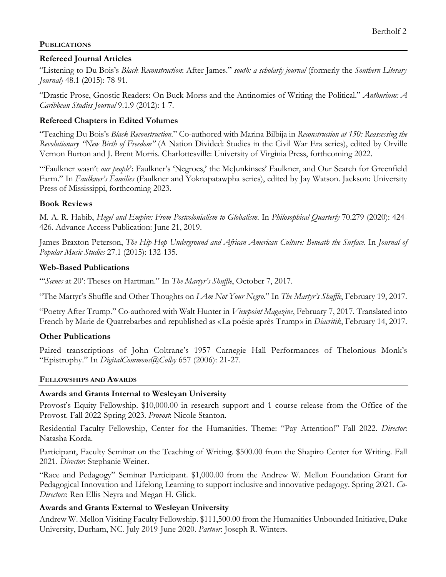## **PUBLICATIONS**

## **Refereed Journal Articles**

"Listening to Du Bois's *Black Reconstruction*: After James." *south: a scholarly journal* (formerly the *Southern Literary Journal*) 48.1 (2015): 78-91.

"Drastic Prose, Gnostic Readers: On Buck-Morss and the Antinomies of Writing the Political." *Anthurium: A Caribbean Studies Journal* 9.1.9 (2012): 1-7.

## **Refereed Chapters in Edited Volumes**

"Teaching Du Bois's *Black Reconstruction*." Co-authored with Marina Bilbija in *Reconstruction at 150: Reassessing the Revolutionary "New Birth of Freedom"* (A Nation Divided: Studies in the Civil War Era series), edited by Orville Vernon Burton and J. Brent Morris. Charlottesville: University of Virginia Press, forthcoming 2022.

"'Faulkner wasn't *our people*': Faulkner's 'Negroes,' the McJunkinses' Faulkner, and Our Search for Greenfield Farm." In *Faulkner's Families* (Faulkner and Yoknapatawpha series), edited by Jay Watson. Jackson: University Press of Mississippi, forthcoming 2023.

#### **Book Reviews**

M. A. R. Habib, *Hegel and Empire: From Postcolonialism to Globalism*. In *Philosophical Quarterly* 70.279 (2020): 424- 426. Advance Access Publication: June 21, 2019.

James Braxton Peterson, *The Hip-Hop Underground and African American Culture: Beneath the Surface*. In *Journal of Popular Music Studies* 27.1 (2015): 132-135.

## **Web-Based Publications**

"'*Scenes* at 20': Theses on Hartman." In *The Martyr's Shuffle*, October 7, 2017.

"The Martyr's Shuffle and Other Thoughts on *I Am Not Your Negro*." In *The Martyr's Shuffle*, February 19, 2017.

"Poetry After Trump." Co-authored with Walt Hunter in *Viewpoint Magazine*, February 7, 2017. Translated into French by Marie de Quatrebarbes and republished as «La poésie après Trump» in *Diacritik*, February 14, 2017.

#### **Other Publications**

Paired transcriptions of John Coltrane's 1957 Carnegie Hall Performances of Thelonious Monk's "Epistrophy." In *DigitalCommons@Colby* 657 (2006): 21-27.

#### **FELLOWSHIPS AND AWARDS**

#### **Awards and Grants Internal to Wesleyan University**

Provost's Equity Fellowship. \$10,000.00 in research support and 1 course release from the Office of the Provost. Fall 2022-Spring 2023. *Provost*: Nicole Stanton.

Residential Faculty Fellowship, Center for the Humanities. Theme: "Pay Attention!" Fall 2022. *Director*: Natasha Korda.

Participant, Faculty Seminar on the Teaching of Writing. \$500.00 from the Shapiro Center for Writing. Fall 2021. *Director*: Stephanie Weiner.

"Race and Pedagogy" Seminar Participant. \$1,000.00 from the Andrew W. Mellon Foundation Grant for Pedagogical Innovation and Lifelong Learning to support inclusive and innovative pedagogy. Spring 2021. *Co-Directors*: Ren Ellis Neyra and Megan H. Glick.

## **Awards and Grants External to Wesleyan University**

Andrew W. Mellon Visiting Faculty Fellowship. \$111,500.00 from the Humanities Unbounded Initiative, Duke University, Durham, NC. July 2019-June 2020. *Partner*: Joseph R. Winters.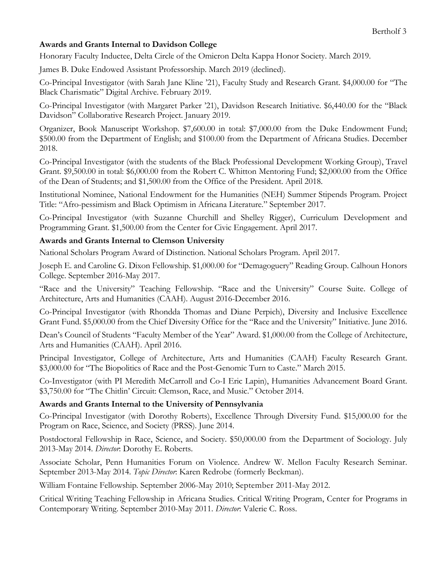## **Awards and Grants Internal to Davidson College**

Honorary Faculty Inductee, Delta Circle of the Omicron Delta Kappa Honor Society. March 2019.

James B. Duke Endowed Assistant Professorship. March 2019 (declined).

Co-Principal Investigator (with Sarah Jane Kline '21), Faculty Study and Research Grant. \$4,000.00 for "The Black Charismatic" Digital Archive. February 2019.

Co-Principal Investigator (with Margaret Parker '21), Davidson Research Initiative. \$6,440.00 for the "Black Davidson" Collaborative Research Project. January 2019.

Organizer, Book Manuscript Workshop. \$7,600.00 in total: \$7,000.00 from the Duke Endowment Fund; \$500.00 from the Department of English; and \$100.00 from the Department of Africana Studies. December 2018.

Co-Principal Investigator (with the students of the Black Professional Development Working Group), Travel Grant. \$9,500.00 in total: \$6,000.00 from the Robert C. Whitton Mentoring Fund; \$2,000.00 from the Office of the Dean of Students; and \$1,500.00 from the Office of the President. April 2018.

Institutional Nominee, National Endowment for the Humanities (NEH) Summer Stipends Program. Project Title: "Afro-pessimism and Black Optimism in Africana Literature." September 2017.

Co-Principal Investigator (with Suzanne Churchill and Shelley Rigger), Curriculum Development and Programming Grant. \$1,500.00 from the Center for Civic Engagement. April 2017.

## **Awards and Grants Internal to Clemson University**

National Scholars Program Award of Distinction. National Scholars Program. April 2017.

Joseph E. and Caroline G. Dixon Fellowship. \$1,000.00 for "Demagoguery" Reading Group. Calhoun Honors College. September 2016-May 2017.

"Race and the University" Teaching Fellowship. "Race and the University" Course Suite. College of Architecture, Arts and Humanities (CAAH). August 2016-December 2016.

Co-Principal Investigator (with Rhondda Thomas and Diane Perpich), Diversity and Inclusive Excellence Grant Fund. \$5,000.00 from the Chief Diversity Office for the "Race and the University" Initiative. June 2016.

Dean's Council of Students "Faculty Member of the Year" Award. \$1,000.00 from the College of Architecture, Arts and Humanities (CAAH). April 2016.

Principal Investigator, College of Architecture, Arts and Humanities (CAAH) Faculty Research Grant. \$3,000.00 for "The Biopolitics of Race and the Post-Genomic Turn to Caste." March 2015.

Co-Investigator (with PI Meredith McCarroll and Co-I Eric Lapin), Humanities Advancement Board Grant. \$3,750.00 for "The Chitlin' Circuit: Clemson, Race, and Music." October 2014.

## **Awards and Grants Internal to the University of Pennsylvania**

Co-Principal Investigator (with Dorothy Roberts), Excellence Through Diversity Fund. \$15,000.00 for the Program on Race, Science, and Society (PRSS). June 2014.

Postdoctoral Fellowship in Race, Science, and Society. \$50,000.00 from the Department of Sociology. July 2013-May 2014. *Director*: Dorothy E. Roberts.

Associate Scholar, Penn Humanities Forum on Violence. Andrew W. Mellon Faculty Research Seminar. September 2013-May 2014. *Topic Director*: Karen Redrobe (formerly Beckman).

William Fontaine Fellowship. September 2006-May 2010; September 2011-May 2012.

Critical Writing Teaching Fellowship in Africana Studies. Critical Writing Program, Center for Programs in Contemporary Writing. September 2010-May 2011. *Director*: Valerie C. Ross.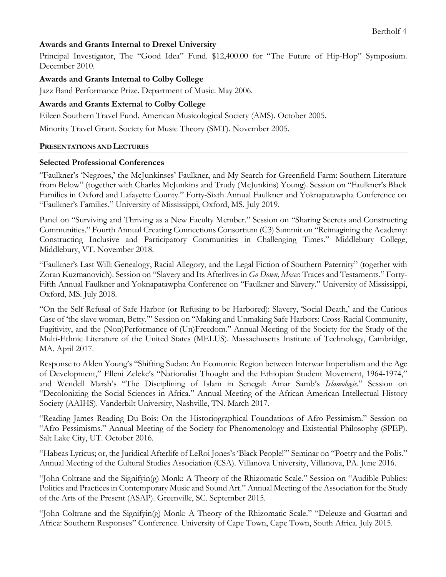## **Awards and Grants Internal to Drexel University**

Principal Investigator, The "Good Idea" Fund. \$12,400.00 for "The Future of Hip-Hop" Symposium. December 2010.

#### **Awards and Grants Internal to Colby College**

Jazz Band Performance Prize. Department of Music. May 2006.

#### **Awards and Grants External to Colby College**

Eileen Southern Travel Fund. American Musicological Society (AMS). October 2005.

Minority Travel Grant. Society for Music Theory (SMT). November 2005.

#### **PRESENTATIONS AND LECTURES**

#### **Selected Professional Conferences**

"Faulkner's 'Negroes,' the McJunkinses' Faulkner, and My Search for Greenfield Farm: Southern Literature from Below" (together with Charles McJunkins and Trudy (McJunkins) Young). Session on "Faulkner's Black Families in Oxford and Lafayette County." Forty-Sixth Annual Faulkner and Yoknapatawpha Conference on "Faulkner's Families." University of Mississippi, Oxford, MS. July 2019.

Panel on "Surviving and Thriving as a New Faculty Member." Session on "Sharing Secrets and Constructing Communities." Fourth Annual Creating Connections Consortium (C3) Summit on "Reimagining the Academy: Constructing Inclusive and Participatory Communities in Challenging Times." Middlebury College, Middlebury, VT. November 2018.

"Faulkner's Last Will: Genealogy, Racial Allegory, and the Legal Fiction of Southern Paternity" (together with Zoran Kuzmanovich). Session on "Slavery and Its Afterlives in *Go Down, Moses*: Traces and Testaments." Forty-Fifth Annual Faulkner and Yoknapatawpha Conference on "Faulkner and Slavery." University of Mississippi, Oxford, MS. July 2018.

"On the Self-Refusal of Safe Harbor (or Refusing to be Harbored): Slavery, 'Social Death,' and the Curious Case of 'the slave woman, Betty.'" Session on "Making and Unmaking Safe Harbors: Cross-Racial Community, Fugitivity, and the (Non)Performance of (Un)Freedom." Annual Meeting of the Society for the Study of the Multi-Ethnic Literature of the United States (MELUS). Massachusetts Institute of Technology, Cambridge, MA. April 2017.

Response to Alden Young's "Shifting Sudan: An Economic Region between Interwar Imperialism and the Age of Development," Elleni Zeleke's "Nationalist Thought and the Ethiopian Student Movement, 1964-1974," and Wendell Marsh's "The Disciplining of Islam in Senegal: Amar Samb's *Islamologie*." Session on "Decolonizing the Social Sciences in Africa." Annual Meeting of the African American Intellectual History Society (AAIHS). Vanderbilt University, Nashville, TN. March 2017.

"Reading James Reading Du Bois: On the Historiographical Foundations of Afro-Pessimism." Session on "Afro-Pessimisms." Annual Meeting of the Society for Phenomenology and Existential Philosophy (SPEP). Salt Lake City, UT. October 2016.

"Habeas Lyricus; or, the Juridical Afterlife of LeRoi Jones's 'Black People!'" Seminar on "Poetry and the Polis." Annual Meeting of the Cultural Studies Association (CSA). Villanova University, Villanova, PA. June 2016.

"John Coltrane and the Signifyin(g) Monk: A Theory of the Rhizomatic Scale." Session on "Audible Publics: Politics and Practices in Contemporary Music and Sound Art." Annual Meeting of the Association for the Study of the Arts of the Present (ASAP). Greenville, SC. September 2015.

"John Coltrane and the Signifyin(g) Monk: A Theory of the Rhizomatic Scale." "Deleuze and Guattari and Africa: Southern Responses" Conference. University of Cape Town, Cape Town, South Africa. July 2015.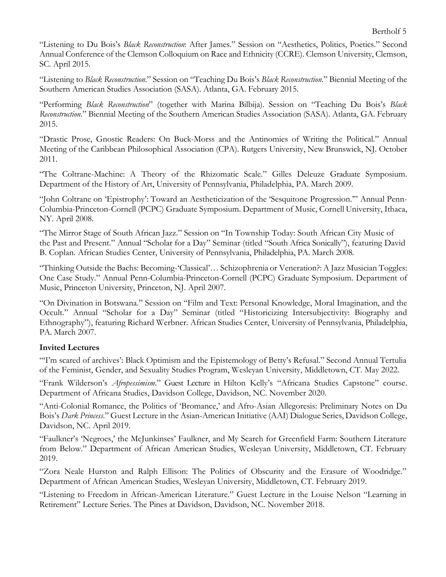"Listening to Du Bois's *Black Reconstruction*: After James." Session on "Aesthetics, Politics, Poetics." Second Annual Conference of the Clemson Colloquium on Race and Ethnicity (CCRE). Clemson University, Clemson, SC. April 2015.

"Listening to *Black Reconstruction*." Session on "Teaching Du Bois's *Black Reconstruction*." Biennial Meeting of the Southern American Studies Association (SASA). Atlanta, GA. February 2015.

"Performing *Black Reconstruction*" (together with Marina Bilbija). Session on "Teaching Du Bois's *Black Reconstruction*." Biennial Meeting of the Southern American Studies Association (SASA). Atlanta, GA. February 2015.

"Drastic Prose, Gnostic Readers: On Buck-Morss and the Antinomies of Writing the Political." Annual Meeting of the Caribbean Philosophical Association (CPA). Rutgers University, New Brunswick, NJ. October 2011.

"The Coltrane-Machine: A Theory of the Rhizomatic Scale." Gilles Deleuze Graduate Symposium. Department of the History of Art, University of Pennsylvania, Philadelphia, PA. March 2009.

"John Coltrane on 'Epistrophy': Toward an Aestheticization of the 'Sesquitone Progression.'" Annual Penn-Columbia-Princeton-Cornell (PCPC) Graduate Symposium. Department of Music, Cornell University, Ithaca, NY. April 2008.

"The Mirror Stage of South African Jazz." Session on "In Township Today: South African City Music of the Past and Present." Annual "Scholar for a Day" Seminar (titled "South Africa Sonically"), featuring David B. Coplan. African Studies Center, University of Pennsylvania, Philadelphia, PA. March 2008.

"Thinking Outside the Bachs: Becoming-'Classical'… Schizophrenia or Veneration?:A Jazz Musician Toggles: One Case Study." Annual Penn-Columbia-Princeton-Cornell (PCPC) Graduate Symposium. Department of Music, Princeton University, Princeton, NJ. April 2007.

"On Divination in Botswana." Session on "Film and Text: Personal Knowledge, Moral Imagination, and the Occult." Annual "Scholar for a Day" Seminar (titled "Historicizing Intersubjectivity: Biography and Ethnography"), featuring Richard Werbner. African Studies Center, University of Pennsylvania, Philadelphia, PA. March 2007.

## **Invited Lectures**

"T'm scared of archives': Black Optimism and the Epistemology of Betty's Refusal." Second Annual Tertulia of the Feminist, Gender, and Sexuality Studies Program, Wesleyan University, Middletown, CT. May 2022.

"Frank Wilderson's *Afropessimism*." Guest Lecture in Hilton Kelly's "Africana Studies Capstone" course. Department of Africana Studies, Davidson College, Davidson, NC. November 2020.

"Anti-Colonial Romance, the Politics of 'Bromance,' and Afro-Asian Allegoresis: Preliminary Notes on Du Bois's *Dark Princess*." Guest Lecture in the Asian-American Initiative (AAI) Dialogue Series, Davidson College, Davidson, NC. April 2019.

"Faulkner's 'Negroes,' the McJunkinses' Faulkner, and My Search for Greenfield Farm: Southern Literature from Below." Department of African American Studies, Wesleyan University, Middletown, CT. February 2019.

"Zora Neale Hurston and Ralph Ellison: The Politics of Obscurity and the Erasure of Woodridge." Department of African American Studies, Wesleyan University, Middletown, CT. February 2019.

"Listening to Freedom in African-American Literature." Guest Lecture in the Louise Nelson "Learning in Retirement" Lecture Series. The Pines at Davidson, Davidson, NC. November 2018.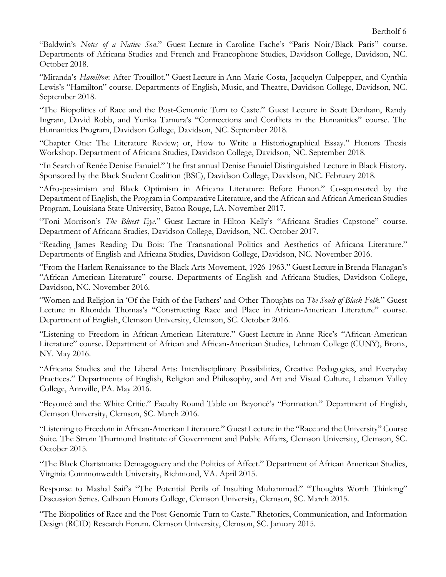"Baldwin's *Notes of a Native Son*." Guest Lecture in Caroline Fache's "Paris Noir/Black Paris" course. Departments of Africana Studies and French and Francophone Studies, Davidson College, Davidson, NC. October 2018.

"Miranda's *Hamilton*: After Trouillot." Guest Lecture in Ann Marie Costa, Jacquelyn Culpepper, and Cynthia Lewis's "Hamilton" course. Departments of English, Music, and Theatre, Davidson College, Davidson, NC. September 2018.

"The Biopolitics of Race and the Post-Genomic Turn to Caste." Guest Lecture in Scott Denham, Randy Ingram, David Robb, and Yurika Tamura's "Connections and Conflicts in the Humanities" course. The Humanities Program, Davidson College, Davidson, NC. September 2018.

"Chapter One: The Literature Review; or, How to Write a Historiographical Essay." Honors Thesis Workshop. Department of Africana Studies, Davidson College, Davidson, NC. September 2018.

"In Search of Renée Denise Fanuiel." The first annual Denise Fanuiel Distinguished Lecture in Black History. Sponsored by the Black Student Coalition (BSC), Davidson College, Davidson, NC. February 2018.

"Afro-pessimism and Black Optimism in Africana Literature: Before Fanon." Co-sponsored by the Department of English, the Program in Comparative Literature, and the African and African American Studies Program, Louisiana State University, Baton Rouge, LA. November 2017.

"Toni Morrison's *The Bluest Eye*." Guest Lecture in Hilton Kelly's "Africana Studies Capstone" course. Department of Africana Studies, Davidson College, Davidson, NC. October 2017.

"Reading James Reading Du Bois: The Transnational Politics and Aesthetics of Africana Literature." Departments of English and Africana Studies, Davidson College, Davidson, NC. November 2016.

"From the Harlem Renaissance to the Black Arts Movement, 1926-1963." Guest Lecture in Brenda Flanagan's "African American Literature" course. Departments of English and Africana Studies, Davidson College, Davidson, NC. November 2016.

"Women and Religion in 'Of the Faith of the Fathers' and Other Thoughts on *The Souls of Black Folk*." Guest Lecture in Rhondda Thomas's "Constructing Race and Place in African-American Literature" course. Department of English, Clemson University, Clemson, SC. October 2016.

"Listening to Freedom in African-American Literature." Guest Lecture in Anne Rice's "African-American Literature" course. Department of African and African-American Studies, Lehman College (CUNY), Bronx, NY. May 2016.

"Africana Studies and the Liberal Arts: Interdisciplinary Possibilities, Creative Pedagogies, and Everyday Practices." Departments of English, Religion and Philosophy, and Art and Visual Culture, Lebanon Valley College, Annville, PA. May 2016.

"Beyoncé and the White Critic." Faculty Round Table on Beyoncé's "Formation." Department of English, Clemson University, Clemson, SC. March 2016.

"Listening to Freedom in African-American Literature." Guest Lecture in the "Race and the University" Course Suite. The Strom Thurmond Institute of Government and Public Affairs, Clemson University, Clemson, SC. October 2015.

"The Black Charismatic: Demagoguery and the Politics of Affect." Department of African American Studies, Virginia Commonwealth University, Richmond, VA. April 2015.

Response to Mashal Saif's "The Potential Perils of Insulting Muhammad." "Thoughts Worth Thinking" Discussion Series. Calhoun Honors College, Clemson University, Clemson, SC. March 2015.

"The Biopolitics of Race and the Post-Genomic Turn to Caste." Rhetorics, Communication, and Information Design (RCID) Research Forum. Clemson University, Clemson, SC. January 2015.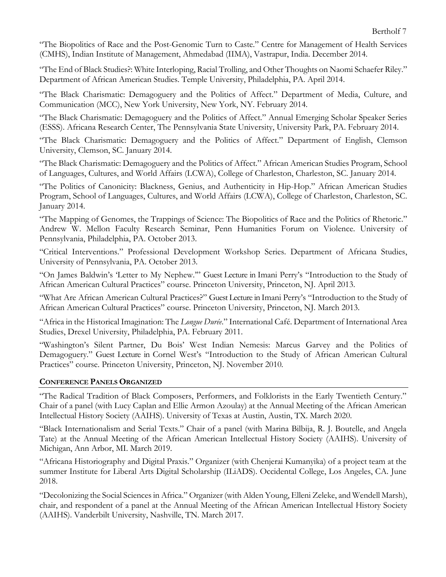"The Biopolitics of Race and the Post-Genomic Turn to Caste." Centre for Management of Health Services (CMHS), Indian Institute of Management, Ahmedabad (IIMA), Vastrapur, India. December 2014.

"The End of Black Studies?: White Interloping, Racial Trolling, and Other Thoughts on Naomi Schaefer Riley." Department of African American Studies. Temple University, Philadelphia, PA. April 2014.

"The Black Charismatic: Demagoguery and the Politics of Affect." Department of Media, Culture, and Communication (MCC), New York University, New York, NY. February 2014.

"The Black Charismatic: Demagoguery and the Politics of Affect." Annual Emerging Scholar Speaker Series (ESSS). Africana Research Center, The Pennsylvania State University, University Park, PA. February 2014.

"The Black Charismatic: Demagoguery and the Politics of Affect." Department of English, Clemson University, Clemson, SC. January 2014.

"The Black Charismatic: Demagoguery and the Politics of Affect." African American Studies Program, School of Languages, Cultures, and World Affairs (LCWA), College of Charleston, Charleston, SC. January 2014.

"The Politics of Canonicity: Blackness, Genius, and Authenticity in Hip-Hop." African American Studies Program, School of Languages, Cultures, and World Affairs (LCWA), College of Charleston, Charleston, SC. January 2014.

"The Mapping of Genomes, the Trappings of Science: The Biopolitics of Race and the Politics of Rhetoric." Andrew W. Mellon Faculty Research Seminar, Penn Humanities Forum on Violence. University of Pennsylvania, Philadelphia, PA. October 2013.

"Critical Interventions." Professional Development Workshop Series. Department of Africana Studies, University of Pennsylvania, PA. October 2013.

"On James Baldwin's 'Letter to My Nephew.'" Guest Lecture in Imani Perry's "Introduction to the Study of African American Cultural Practices" course. Princeton University, Princeton, NJ. April 2013.

"What Are African American Cultural Practices?" Guest Lecture in Imani Perry's "Introduction to the Study of African American Cultural Practices" course. Princeton University, Princeton, NJ. March 2013.

"Africa in the Historical Imagination: The *Longue Durée*." International Café. Department of International Area Studies, Drexel University, Philadelphia, PA. February 2011.

"Washington's Silent Partner, Du Bois' West Indian Nemesis: Marcus Garvey and the Politics of Demagoguery." Guest Lecture in Cornel West's "Introduction to the Study of African American Cultural Practices" course. Princeton University, Princeton, NJ. November 2010.

#### **CONFERENCE PANELS ORGANIZED**

"The Radical Tradition of Black Composers, Performers, and Folklorists in the Early Twentieth Century." Chair of a panel (with Lucy Caplan and Ellie Armon Azoulay) at the Annual Meeting of the African American Intellectual History Society (AAIHS). University of Texas at Austin, Austin, TX. March 2020.

"Black Internationalism and Serial Texts." Chair of a panel (with Marina Bilbija, R. J. Boutelle, and Angela Tate) at the Annual Meeting of the African American Intellectual History Society (AAIHS). University of Michigan, Ann Arbor, MI. March 2019.

"Africana Historiography and Digital Praxis." Organizer (with Chenjerai Kumanyika) of a project team at the summer Institute for Liberal Arts Digital Scholarship (ILiADS). Occidental College, Los Angeles, CA. June 2018.

"Decolonizing the Social Sciences in Africa." Organizer (with Alden Young, Elleni Zeleke, and Wendell Marsh), chair, and respondent of a panel at the Annual Meeting of the African American Intellectual History Society (AAIHS). Vanderbilt University, Nashville, TN. March 2017.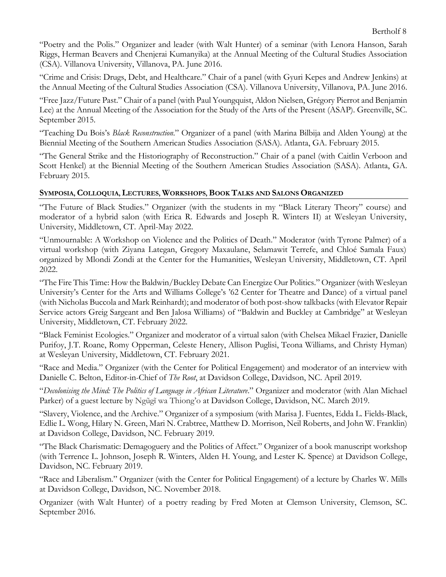"Poetry and the Polis." Organizer and leader (with Walt Hunter) of a seminar (with Lenora Hanson, Sarah Riggs, Herman Beavers and Chenjerai Kumanyika) at the Annual Meeting of the Cultural Studies Association (CSA). Villanova University, Villanova, PA. June 2016.

"Crime and Crisis: Drugs, Debt, and Healthcare." Chair of a panel (with Gyuri Kepes and Andrew Jenkins) at the Annual Meeting of the Cultural Studies Association (CSA). Villanova University, Villanova, PA. June 2016.

"Free Jazz/Future Past." Chair of a panel (with Paul Youngquist, Aldon Nielsen, Grégory Pierrot and Benjamin Lee) at the Annual Meeting of the Association for the Study of the Arts of the Present (ASAP). Greenville, SC. September 2015.

"Teaching Du Bois's *Black Reconstruction*." Organizer of a panel (with Marina Bilbija and Alden Young) at the Biennial Meeting of the Southern American Studies Association (SASA). Atlanta, GA. February 2015.

"The General Strike and the Historiography of Reconstruction." Chair of a panel (with Caitlin Verboon and Scott Henkel) at the Biennial Meeting of the Southern American Studies Association (SASA). Atlanta, GA. February 2015.

## **SYMPOSIA, COLLOQUIA, LECTURES, WORKSHOPS, BOOK TALKS AND SALONS ORGANIZED**

"The Future of Black Studies." Organizer (with the students in my "Black Literary Theory" course) and moderator of a hybrid salon (with Erica R. Edwards and Joseph R. Winters II) at Wesleyan University, University, Middletown, CT. April-May 2022.

"Unmournable: A Workshop on Violence and the Politics of Death." Moderator (with Tyrone Palmer) of a virtual workshop (with Ziyana Lategan, Gregory Maxaulane, Selamawit Terrefe, and Chloé Samala Faux) organized by Mlondi Zondi at the Center for the Humanities, Wesleyan University, Middletown, CT. April 2022.

"The Fire This Time: How the Baldwin/Buckley Debate Can Energize Our Politics." Organizer (with Wesleyan University's Center for the Arts and Williams College's '62 Center for Theatre and Dance) of a virtual panel (with Nicholas Buccola and Mark Reinhardt); and moderator of both post-show talkbacks (with Elevator Repair Service actors Greig Sargeant and Ben Jalosa Williams) of "Baldwin and Buckley at Cambridge" at Wesleyan University, Middletown, CT. February 2022.

"Black Feminist Ecologies." Organizer and moderator of a virtual salon (with Chelsea Mikael Frazier, Danielle Purifoy, J.T. Roane, Romy Opperman, Celeste Henery, Allison Puglisi, Teona Williams, and Christy Hyman) at Wesleyan University, Middletown, CT. February 2021.

"Race and Media." Organizer (with the Center for Political Engagement) and moderator of an interview with Danielle C. Belton, Editor-in-Chief of *The Root*, at Davidson College, Davidson, NC. April 2019.

"*Decolonising the Mind: The Politics of Language in African Literature*." Organizer and moderator (with Alan Michael Parker) of a guest lecture by Ngũgĩ wa Thiong'o at Davidson College, Davidson, NC. March 2019.

"Slavery, Violence, and the Archive." Organizer of a symposium (with Marisa J. Fuentes, Edda L. Fields-Black, Edlie L. Wong, Hilary N. Green, Mari N. Crabtree, Matthew D. Morrison, Neil Roberts, and John W. Franklin) at Davidson College, Davidson, NC. February 2019.

"The Black Charismatic: Demagoguery and the Politics of Affect." Organizer of a book manuscript workshop (with Terrence L. Johnson, Joseph R. Winters, Alden H. Young, and Lester K. Spence) at Davidson College, Davidson, NC. February 2019.

"Race and Liberalism." Organizer (with the Center for Political Engagement) of a lecture by Charles W. Mills at Davidson College, Davidson, NC. November 2018.

Organizer (with Walt Hunter) of a poetry reading by Fred Moten at Clemson University, Clemson, SC. September 2016.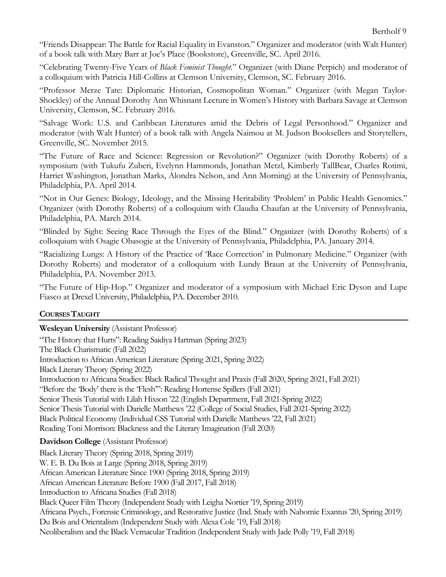"Friends Disappear: The Battle for Racial Equality in Evanston." Organizer and moderator (with Walt Hunter) of a book talk with Mary Barr at Joe's Place (Bookstore), Greenville, SC. April 2016.

"Celebrating Twenty-Five Years of *Black Feminist Thought*." Organizer (with Diane Perpich) and moderator of a colloquium with Patricia Hill-Collins at Clemson University, Clemson, SC. February 2016.

"Professor Merze Tate: Diplomatic Historian, Cosmopolitan Woman." Organizer (with Megan Taylor-Shockley) of the Annual Dorothy Ann Whisnant Lecture in Women's History with Barbara Savage at Clemson University, Clemson, SC. February 2016.

"Salvage Work: U.S. and Caribbean Literatures amid the Debris of Legal Personhood." Organizer and moderator (with Walt Hunter) of a book talk with Angela Naimou at M. Judson Booksellers and Storytellers, Greenville, SC. November 2015.

"The Future of Race and Science: Regression or Revolution?" Organizer (with Dorothy Roberts) of a symposium (with Tukufu Zuberi, Evelynn Hammonds, Jonathan Metzl, Kimberly TallBear, Charles Rotimi, Harriet Washington, Jonathan Marks, Alondra Nelson, and Ann Morning) at the University of Pennsylvania, Philadelphia, PA. April 2014.

"Not in Our Genes: Biology, Ideology, and the Missing Heritability 'Problem' in Public Health Genomics." Organizer (with Dorothy Roberts) of a colloquium with Claudia Chaufan at the University of Pennsylvania, Philadelphia, PA. March 2014.

"Blinded by Sight: Seeing Race Through the Eyes of the Blind." Organizer (with Dorothy Roberts) of a colloquium with Osagie Obasogie at the University of Pennsylvania, Philadelphia, PA. January 2014.

"Racializing Lungs: A History of the Practice of 'Race Correction' in Pulmonary Medicine." Organizer (with Dorothy Roberts) and moderator of a colloquium with Lundy Braun at the University of Pennsylvania, Philadelphia, PA. November 2013.

"The Future of Hip-Hop." Organizer and moderator of a symposium with Michael Eric Dyson and Lupe Fiasco at Drexel University, Philadelphia, PA. December 2010.

## **COURSES TAUGHT**

**Wesleyan University** (Assistant Professor)

"The History that Hurts": Reading Saidiya Hartman (Spring 2023) The Black Charismatic (Fall 2022) Introduction to African American Literature (Spring 2021, Spring 2022) Black Literary Theory (Spring 2022) Introduction to Africana Studies: Black Radical Thought and Praxis (Fall 2020, Spring 2021, Fall 2021) "Before the 'Body' there is the 'Flesh'": Reading Hortense Spillers (Fall 2021) Senior Thesis Tutorial with Lilah Hixson '22 (English Department, Fall 2021-Spring 2022) Senior Thesis Tutorial with Darielle Matthews '22 (College of Social Studies, Fall 2021-Spring 2022) Black Political Economy (Individual CSS Tutorial with Darielle Matthews '22, Fall 2021) Reading Toni Morrison: Blackness and the Literary Imagination (Fall 2020)

**Davidson College** (Assistant Professor)

Black Literary Theory (Spring 2018, Spring 2019) W. E. B. Du Bois at Large (Spring 2018, Spring 2019) African American Literature Since 1900 (Spring 2018, Spring 2019) African American Literature Before 1900 (Fall 2017, Fall 2018) Introduction to Africana Studies (Fall 2018) Black Queer Film Theory (Independent Study with Leigha Nortier '19, Spring 2019) Africana Psych., Forensic Criminology, and Restorative Justice (Ind. Study with Nahomie Exantus '20, Spring 2019) Du Bois and Orientalism (Independent Study with Alexa Cole '19, Fall 2018) Neoliberalism and the Black Vernacular Tradition (Independent Study with Jade Polly '19, Fall 2018)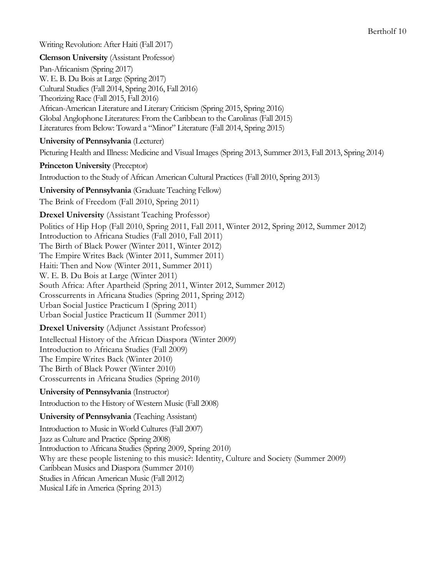Writing Revolution: After Haiti (Fall 2017)

**Clemson University** (Assistant Professor) Pan-Africanism (Spring 2017) W. E. B. Du Bois at Large (Spring 2017) Cultural Studies (Fall 2014, Spring 2016, Fall 2016) Theorizing Race (Fall 2015, Fall 2016) African-American Literature and Literary Criticism (Spring 2015, Spring 2016) Global Anglophone Literatures: From the Caribbean to the Carolinas (Fall 2015) Literatures from Below: Toward a "Minor" Literature (Fall 2014, Spring 2015) **University of Pennsylvania** (Lecturer) Picturing Health and Illness: Medicine and Visual Images (Spring 2013, Summer 2013, Fall 2013, Spring 2014) **Princeton University** (Preceptor) Introduction to the Study of African American Cultural Practices (Fall 2010, Spring 2013) **University of Pennsylvania** (Graduate Teaching Fellow) The Brink of Freedom (Fall 2010, Spring 2011) **Drexel University** (Assistant Teaching Professor) Politics of Hip Hop (Fall 2010, Spring 2011, Fall 2011, Winter 2012, Spring 2012, Summer 2012) Introduction to Africana Studies (Fall 2010, Fall 2011) The Birth of Black Power (Winter 2011, Winter 2012) The Empire Writes Back (Winter 2011, Summer 2011) Haiti: Then and Now (Winter 2011, Summer 2011) W. E. B. Du Bois at Large (Winter 2011) South Africa: After Apartheid (Spring 2011, Winter 2012, Summer 2012) Crosscurrents in Africana Studies (Spring 2011, Spring 2012) Urban Social Justice Practicum I (Spring 2011) Urban Social Justice Practicum II (Summer 2011) **Drexel University** (Adjunct Assistant Professor) Intellectual History of the African Diaspora (Winter 2009) Introduction to Africana Studies (Fall 2009) The Empire Writes Back (Winter 2010) The Birth of Black Power (Winter 2010) Crosscurrents in Africana Studies (Spring 2010) **University of Pennsylvania** (Instructor) Introduction to the History of Western Music (Fall 2008) **University of Pennsylvania** (Teaching Assistant) Introduction to Music in World Cultures (Fall 2007) Jazz as Culture and Practice (Spring 2008) Introduction to Africana Studies (Spring 2009, Spring 2010) Why are these people listening to this music?: Identity, Culture and Society (Summer 2009) Caribbean Musics and Diaspora (Summer 2010) Studies in African American Music (Fall 2012)

Musical Life in America (Spring 2013)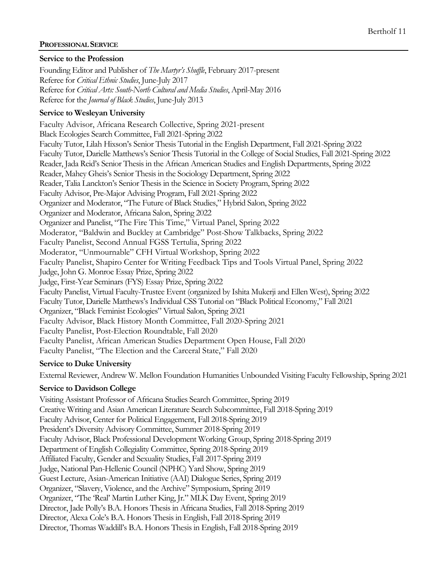## **PROFESSIONAL SERVICE**

#### **Service to the Profession**

Founding Editor and Publisher of *The Martyr's Shuffle*, February 2017-present Referee for *Critical Ethnic Studies*, June-July 2017 Referee for *Critical Arts: South-North Cultural and Media Studies*, April-May 2016 Referee for the *Journal of Black Studies*, June-July 2013

#### **Service to Wesleyan University**

Faculty Advisor, Africana Research Collective, Spring 2021-present Black Ecologies Search Committee, Fall 2021-Spring 2022 Faculty Tutor, Lilah Hixson's Senior Thesis Tutorial in the English Department, Fall 2021-Spring 2022 Faculty Tutor, Darielle Matthews's Senior Thesis Tutorial in the College of Social Studies, Fall 2021-Spring 2022 Reader, Jada Reid's Senior Thesis in the African American Studies and English Departments, Spring 2022 Reader, Mahey Gheis's Senior Thesis in the Sociology Department, Spring 2022 Reader, Talia Lanckton's Senior Thesis in the Science in Society Program, Spring 2022 Faculty Advisor, Pre-Major Advising Program, Fall 2021-Spring 2022 Organizer and Moderator, "The Future of Black Studies," Hybrid Salon, Spring 2022 Organizer and Moderator, Africana Salon, Spring 2022 Organizer and Panelist, "The Fire This Time," Virtual Panel, Spring 2022 Moderator, "Baldwin and Buckley at Cambridge" Post-Show Talkbacks, Spring 2022 Faculty Panelist, Second Annual FGSS Tertulia, Spring 2022 Moderator, "Unmournable" CFH Virtual Workshop, Spring 2022 Faculty Panelist, Shapiro Center for Writing Feedback Tips and Tools Virtual Panel, Spring 2022 Judge, John G. Monroe Essay Prize, Spring 2022 Judge, First-Year Seminars (FYS) Essay Prize, Spring 2022 Faculty Panelist, Virtual Faculty-Trustee Event (organized by Ishita Mukerji and Ellen West), Spring 2022 Faculty Tutor, Darielle Matthews's Individual CSS Tutorial on "Black Political Economy," Fall 2021 Organizer, "Black Feminist Ecologies" Virtual Salon, Spring 2021 Faculty Advisor, Black History Month Committee, Fall 2020-Spring 2021 Faculty Panelist, Post-Election Roundtable, Fall 2020 Faculty Panelist, African American Studies Department Open House, Fall 2020 Faculty Panelist, "The Election and the Carceral State," Fall 2020

#### **Service to Duke University**

External Reviewer, Andrew W. Mellon Foundation Humanities Unbounded Visiting Faculty Fellowship, Spring 2021

## **Service to Davidson College**

Visiting Assistant Professor of Africana Studies Search Committee, Spring 2019 Creative Writing and Asian American Literature Search Subcommittee, Fall 2018-Spring 2019 Faculty Advisor, Center for Political Engagement, Fall 2018-Spring 2019 President's Diversity Advisory Committee, Summer 2018-Spring 2019 Faculty Advisor, Black Professional Development Working Group, Spring 2018-Spring 2019 Department of English Collegiality Committee, Spring 2018-Spring 2019 Affiliated Faculty, Gender and Sexuality Studies, Fall 2017-Spring 2019 Judge, National Pan-Hellenic Council (NPHC) Yard Show, Spring 2019 Guest Lecture, Asian-American Initiative (AAI) Dialogue Series, Spring 2019 Organizer, "Slavery, Violence, and the Archive" Symposium, Spring 2019 Organizer, "The 'Real' Martin Luther King, Jr." MLK Day Event, Spring 2019 Director, Jade Polly's B.A. Honors Thesis in Africana Studies, Fall 2018-Spring 2019 Director, Alexa Cole's B.A. Honors Thesis in English, Fall 2018-Spring 2019 Director, Thomas Waddill's B.A. Honors Thesis in English, Fall 2018-Spring 2019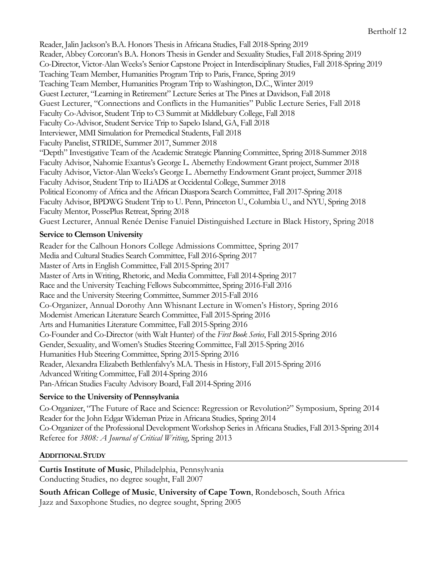Reader, Jalin Jackson's B.A. Honors Thesis in Africana Studies, Fall 2018-Spring 2019 Reader, Abbey Corcoran's B.A. Honors Thesis in Gender and Sexuality Studies, Fall 2018-Spring 2019 Co-Director, Victor-Alan Weeks's Senior Capstone Project in Interdisciplinary Studies, Fall 2018-Spring 2019 Teaching Team Member, Humanities Program Trip to Paris, France, Spring 2019 Teaching Team Member, Humanities Program Trip to Washington, D.C., Winter 2019 Guest Lecturer, "Learning in Retirement" Lecture Series at The Pines at Davidson, Fall 2018 Guest Lecturer, "Connections and Conflicts in the Humanities" Public Lecture Series, Fall 2018 Faculty Co-Advisor, Student Trip to C3 Summit at Middlebury College, Fall 2018 Faculty Co-Advisor, Student Service Trip to Sapelo Island, GA, Fall 2018 Interviewer, MMI Simulation for Premedical Students, Fall 2018 Faculty Panelist, STRIDE, Summer 2017, Summer 2018 "Depth" Investigative Team of the Academic Strategic Planning Committee, Spring 2018-Summer 2018 Faculty Advisor, Nahomie Exantus's George L. Abernethy Endowment Grant project, Summer 2018 Faculty Advisor, Victor-Alan Weeks's George L. Abernethy Endowment Grant project, Summer 2018 Faculty Advisor, Student Trip to ILiADS at Occidental College, Summer 2018 Political Economy of Africa and the African Diaspora Search Committee, Fall 2017-Spring 2018 Faculty Advisor, BPDWG Student Trip to U. Penn, Princeton U., Columbia U., and NYU, Spring 2018 Faculty Mentor, PossePlus Retreat, Spring 2018 Guest Lecturer, Annual Renée Denise Fanuiel Distinguished Lecture in Black History, Spring 2018

## **Service to Clemson University**

Reader for the Calhoun Honors College Admissions Committee, Spring 2017 Media and Cultural Studies Search Committee, Fall 2016-Spring 2017 Master of Arts in English Committee, Fall 2015-Spring 2017 Master of Arts in Writing, Rhetoric, and Media Committee, Fall 2014-Spring 2017 Race and the University Teaching Fellows Subcommittee, Spring 2016-Fall 2016 Race and the University Steering Committee, Summer 2015-Fall 2016 Co-Organizer, Annual Dorothy Ann Whisnant Lecture in Women's History, Spring 2016 Modernist American Literature Search Committee, Fall 2015-Spring 2016 Arts and Humanities Literature Committee, Fall 2015-Spring 2016 Co-Founder and Co-Director (with Walt Hunter) of the *First Book Series*, Fall 2015-Spring 2016 Gender, Sexuality, and Women's Studies Steering Committee, Fall 2015-Spring 2016 Humanities Hub Steering Committee, Spring 2015-Spring 2016 Reader, Alexandra Elizabeth Bethlenfalvy's M.A. Thesis in History, Fall 2015-Spring 2016 Advanced Writing Committee, Fall 2014-Spring 2016 Pan-African Studies Faculty Advisory Board, Fall 2014-Spring 2016

# **Service to the University of Pennsylvania**

Co-Organizer, "The Future of Race and Science: Regression or Revolution?" Symposium, Spring 2014 Reader for the John Edgar Wideman Prize in Africana Studies, Spring 2014 Co-Organizer of the Professional Development Workshop Series in Africana Studies, Fall 2013-Spring 2014 Referee for *3808: A Journal of Critical Writing*, Spring 2013

# **ADDITIONAL STUDY**

**Curtis Institute of Music**, Philadelphia, Pennsylvania Conducting Studies, no degree sought, Fall 2007

**South African College of Music**, **University of Cape Town**, Rondebosch, South Africa Jazz and Saxophone Studies, no degree sought, Spring 2005